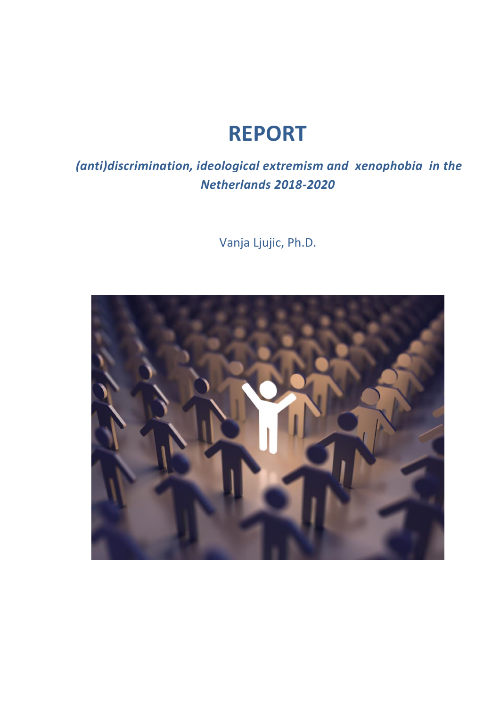# **REPORT**

## *(anti)discrimination, ideological extremism and xenophobia in the Netherlands 2018-2020*

Vanja Ljujic, Ph.D.

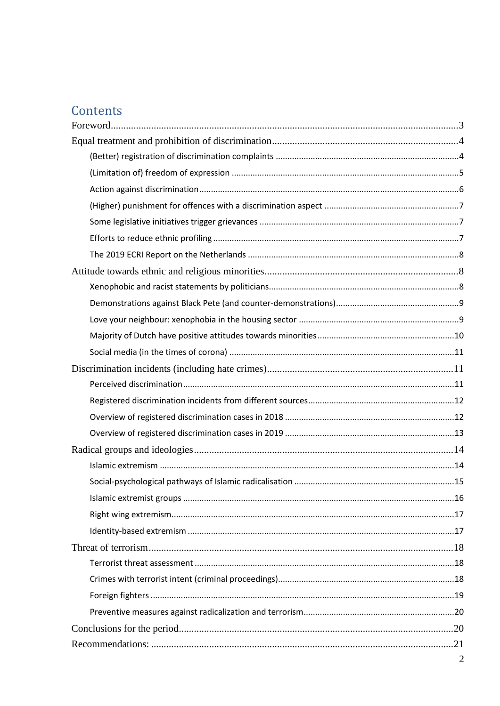## Contents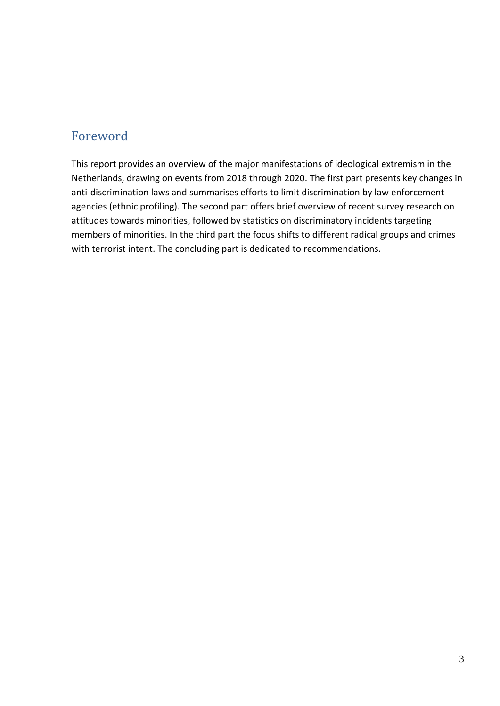### <span id="page-2-0"></span>Foreword

This report provides an overview of the major manifestations of ideological extremism in the Netherlands, drawing on events from 2018 through 2020. The first part presents key changes in anti-discrimination laws and summarises efforts to limit discrimination by law enforcement agencies (ethnic profiling). The second part offers brief overview of recent survey research on attitudes towards minorities, followed by statistics on discriminatory incidents targeting members of minorities. In the third part the focus shifts to different radical groups and crimes with terrorist intent. The concluding part is dedicated to recommendations.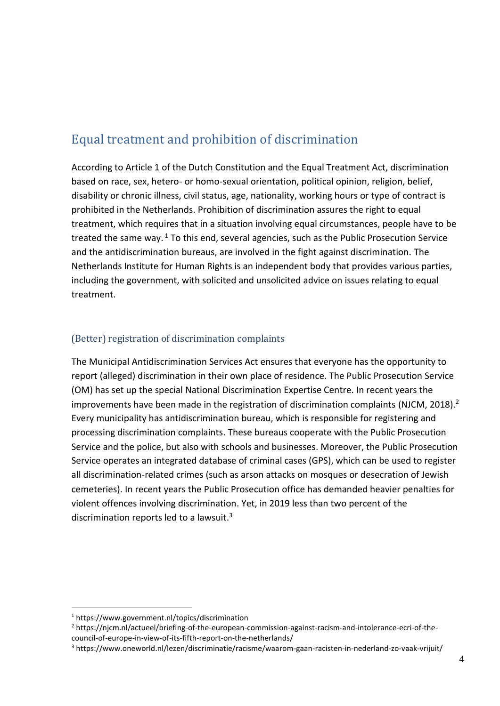## <span id="page-3-0"></span>Equal treatment and prohibition of discrimination

According to Article 1 of the Dutch Constitution and the Equal Treatment Act, discrimination based on race, sex, hetero- or homo-sexual orientation, political opinion, religion, belief, disability or chronic illness, civil status, age, nationality, working hours or type of contract is prohibited in the Netherlands. Prohibition of discrimination assures the right to equal treatment, which requires that in a situation involving equal circumstances, people have to be treated the same way.<sup>1</sup> To this end, several agencies, such as the Public Prosecution Service and the antidiscrimination bureaus, are involved in the fight against discrimination. The Netherlands Institute for Human Rights is an independent body that provides various parties, including the government, with solicited and unsolicited advice on issues relating to equal treatment.

#### <span id="page-3-1"></span>(Better) registration of discrimination complaints

The Municipal Antidiscrimination Services Act ensures that everyone has the opportunity to report (alleged) discrimination in their own place of residence. The Public Prosecution Service (OM) has set up the special National Discrimination Expertise Centre. In recent years the improvements have been made in the registration of discrimination complaints (NJCM, 2018).<sup>2</sup> Every municipality has antidiscrimination bureau, which is responsible for registering and processing discrimination complaints. These bureaus cooperate with the Public Prosecution Service and the police, but also with schools and businesses. Moreover, the Public Prosecution Service operates an integrated database of criminal cases (GPS), which can be used to register all discrimination-related crimes (such as arson attacks on mosques or desecration of Jewish cemeteries). In recent years the Public Prosecution office has demanded heavier penalties for violent offences involving discrimination. Yet, in 2019 less than two percent of the discrimination reports led to a lawsuit.<sup>3</sup>

<sup>1</sup> https://www.government.nl/topics/discrimination

<sup>2</sup> https://njcm.nl/actueel/briefing-of-the-european-commission-against-racism-and-intolerance-ecri-of-thecouncil-of-europe-in-view-of-its-fifth-report-on-the-netherlands/

<sup>3</sup> https://www.oneworld.nl/lezen/discriminatie/racisme/waarom-gaan-racisten-in-nederland-zo-vaak-vrijuit/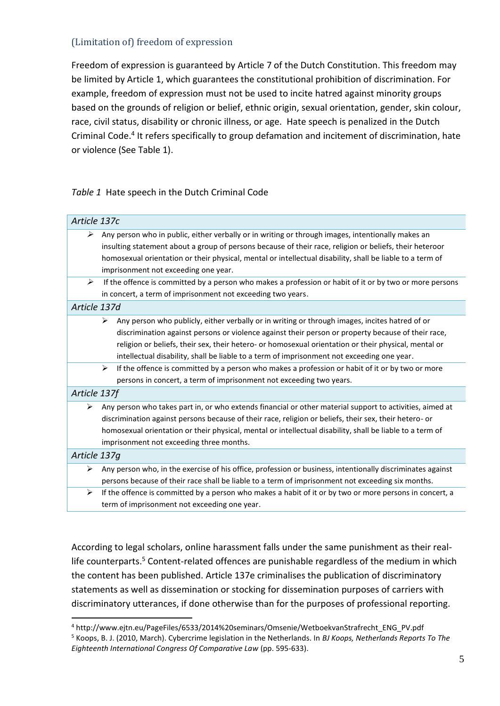#### <span id="page-4-0"></span>(Limitation of) freedom of expression

Freedom of expression is guaranteed by Article 7 of the Dutch Constitution. This freedom may be limited by Article 1, which guarantees the constitutional prohibition of discrimination. For example, freedom of expression must not be used to incite hatred against minority groups based on the grounds of religion or belief, ethnic origin, sexual orientation, gender, skin colour, race, civil status, disability or chronic illness, or age. Hate speech is penalized in the Dutch Criminal Code. 4 It refers specifically to group defamation and incitement of discrimination, hate or violence (See Table 1).

#### *Table 1* Hate speech in the Dutch Criminal Code

| Article 137c          |                                                                                                            |
|-----------------------|------------------------------------------------------------------------------------------------------------|
| $\blacktriangleright$ | Any person who in public, either verbally or in writing or through images, intentionally makes an          |
|                       | insulting statement about a group of persons because of their race, religion or beliefs, their heteroor    |
|                       | homosexual orientation or their physical, mental or intellectual disability, shall be liable to a term of  |
|                       | imprisonment not exceeding one year.                                                                       |
| ≯                     | If the offence is committed by a person who makes a profession or habit of it or by two or more persons    |
|                       | in concert, a term of imprisonment not exceeding two years.                                                |
| Article 137d          |                                                                                                            |
|                       | Any person who publicly, either verbally or in writing or through images, incites hatred of or<br>≻        |
|                       | discrimination against persons or violence against their person or property because of their race,         |
|                       | religion or beliefs, their sex, their hetero- or homosexual orientation or their physical, mental or       |
|                       | intellectual disability, shall be liable to a term of imprisonment not exceeding one year.                 |
|                       | ➤<br>If the offence is committed by a person who makes a profession or habit of it or by two or more       |
|                       | persons in concert, a term of imprisonment not exceeding two years.                                        |
| Article 137f          |                                                                                                            |
| ⋗                     | Any person who takes part in, or who extends financial or other material support to activities, aimed at   |
|                       | discrimination against persons because of their race, religion or beliefs, their sex, their hetero- or     |
|                       | homosexual orientation or their physical, mental or intellectual disability, shall be liable to a term of  |
|                       | imprisonment not exceeding three months.                                                                   |
| Article 137q          |                                                                                                            |
| ➤                     | Any person who, in the exercise of his office, profession or business, intentionally discriminates against |
|                       | persons because of their race shall be liable to a term of imprisonment not exceeding six months.          |
| ➤                     | If the offence is committed by a person who makes a habit of it or by two or more persons in concert, a    |
|                       | term of imprisonment not exceeding one year.                                                               |
|                       |                                                                                                            |

According to legal scholars, online harassment falls under the same punishment as their reallife counterparts.<sup>5</sup> Content-related offences are punishable regardless of the medium in which the content has been published. Article 137e criminalises the publication of discriminatory statements as well as dissemination or stocking for dissemination purposes of carriers with discriminatory utterances, if done otherwise than for the purposes of professional reporting.

<sup>4</sup> http://www.ejtn.eu/PageFiles/6533/2014%20seminars/Omsenie/WetboekvanStrafrecht\_ENG\_PV.pdf

<sup>5</sup> Koops, B. J. (2010, March). Cybercrime legislation in the Netherlands. In *BJ Koops, Netherlands Reports To The Eighteenth International Congress Of Comparative Law* (pp. 595-633).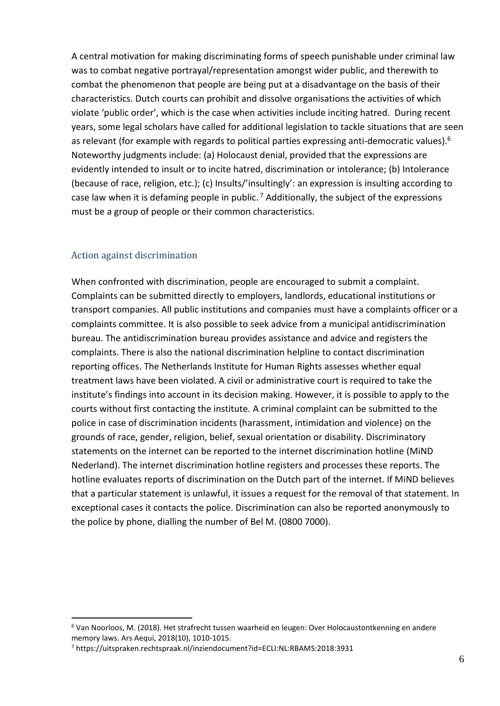A central motivation for making discriminating forms of speech punishable under criminal law was to combat negative portrayal/representation amongst wider public, and therewith to combat the phenomenon that people are being put at a disadvantage on the basis of their characteristics. Dutch courts can prohibit and dissolve organisations the activities of which violate 'public order', which is the case when activities include inciting hatred. During recent years, some legal scholars have called for additional legislation to tackle situations that are seen as relevant (for example with regards to political parties expressing anti-democratic values).<sup>6</sup> Noteworthy judgments include: (a) Holocaust denial, provided that the expressions are evidently intended to insult or to incite hatred, discrimination or intolerance; (b) Intolerance (because of race, religion, etc.); (c) Insults/'insultingly': an expression is insulting according to case law when it is defaming people in public.<sup>7</sup> Additionally, the subject of the expressions must be a group of people or their common characteristics.

#### <span id="page-5-0"></span>Action against discrimination

When confronted with discrimination, people are encouraged to submit a complaint. Complaints can be submitted directly to employers, landlords, educational institutions or transport companies. All public institutions and companies must have a complaints officer or a complaints committee. It is also possible to seek advice from a municipal antidiscrimination bureau. The antidiscrimination bureau provides assistance and advice and registers the complaints. There is also the national discrimination helpline to contact discrimination reporting offices. The Netherlands Institute for Human Rights assesses whether equal treatment laws have been violated. A civil or administrative court is required to take the institute's findings into account in its decision making. However, it is possible to apply to the courts without first contacting the institute. A criminal complaint can be submitted to the police in case of discrimination incidents (harassment, intimidation and violence) on the grounds of race, gender, religion, belief, sexual orientation or disability. Discriminatory statements on the internet can be reported to the internet discrimination hotline (MiND Nederland). The internet discrimination hotline registers and processes these reports. The hotline evaluates reports of discrimination on the Dutch part of the internet. If MiND believes that a particular statement is unlawful, it issues a request for the removal of that statement. In exceptional cases it contacts the police. Discrimination can also be reported anonymously to the police by phone, dialling the number of Bel M. (0800 7000).

<sup>6</sup> Van Noorloos, M. (2018). Het strafrecht tussen waarheid en leugen: Over Holocaustontkenning en andere memory laws. Ars Aequi, 2018(10), 1010-1015.

<sup>7</sup> https://uitspraken.rechtspraak.nl/inziendocument?id=ECLI:NL:RBAMS:2018:3931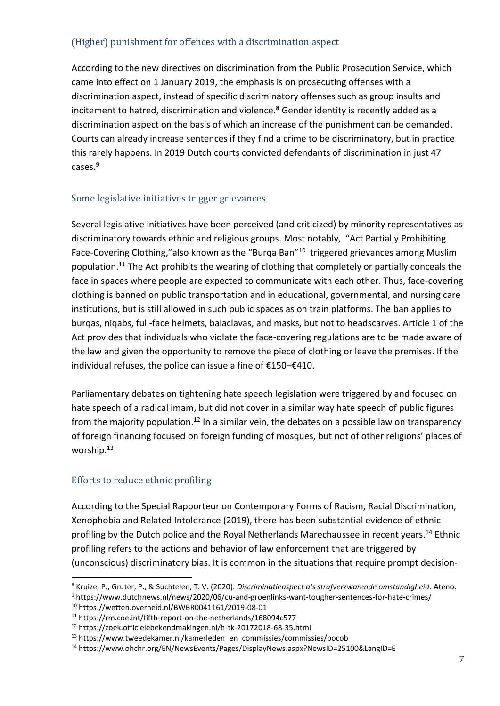#### <span id="page-6-0"></span>(Higher) punishment for offences with a discrimination aspect

According to the new directives on discrimination from the Public Prosecution Service, which came into effect on 1 January 2019, the emphasis is on prosecuting offenses with a discrimination aspect, instead of specific discriminatory offenses such as group insults and incitement to hatred, discrimination and violence.**<sup>8</sup>** Gender identity is recently added as a discrimination aspect on the basis of which an increase of the punishment can be demanded. Courts can already increase sentences if they find a crime to be discriminatory, but in practice this rarely happens. In 2019 Dutch courts convicted defendants of discrimination in just 47 cases.<sup>9</sup>

#### <span id="page-6-1"></span>Some legislative initiatives trigger grievances

Several legislative initiatives have been perceived (and criticized) by minority representatives as discriminatory towards ethnic and religious groups. Most notably, "Act Partially [Prohibiting](https://perma.cc/KUK4-CNK2) [Face-Covering](https://perma.cc/KUK4-CNK2) Clothing,"also known as the "Burga Ban"<sup>10</sup> triggered grievances among Muslim population.<sup>11</sup> The Act prohibits the wearing of clothing that completely or partially conceals the face in spaces where people are expected to communicate with each other. Thus, face-covering clothing is banned on public transportation and in educational, governmental, and nursing care institutions, but is still allowed in such public spaces as on train platforms. The ban [applies](https://perma.cc/J3CB-J2B3) to burqas, niqabs, full-face helmets, balaclavas, and masks, but not to headscarves. Article 1 of the Act provides that individuals who violate the face-covering regulations are to be made aware of the law and given the opportunity to remove the piece of clothing or leave the premises. If the individual refuses, the police can issue a fine of [€150–€410](https://perma.cc/L8S6-2WWB).

Parliamentary debates on tightening hate speech legislation were triggered by and focused on hate speech of a radical imam, but did not cover in a similar way hate speech of public figures from the majority population.<sup>12</sup> In a similar vein, the debates on a possible law on transparency of foreign financing focused on foreign funding of mosques, but not of other religions' places of worship.<sup>13</sup>

### <span id="page-6-2"></span>Efforts to reduce ethnic profiling

According to the Special Rapporteur on Contemporary Forms of Racism, Racial Discrimination, Xenophobia and Related Intolerance (2019), there has been substantial evidence of ethnic profiling by the Dutch police and the Royal Netherlands Marechaussee in recent years.<sup>14</sup> Ethnic profiling refers to the actions and behavior of law enforcement that are triggered by (unconscious) discriminatory bias. It is common in the situations that require prompt decision-

<sup>8</sup> Kruize, P., Gruter, P., & Suchtelen, T. V. (2020). *Discriminatieaspect als strafverzwarende omstandigheid*. Ateno.

<sup>9</sup> https://www.dutchnews.nl/news/2020/06/cu-and-groenlinks-want-tougher-sentences-for-hate-crimes/

<sup>10</sup> https://wetten.overheid.nl/BWBR0041161/2019-08-01

<sup>11</sup> https://rm.coe.int/fifth-report-on-the-netherlands/168094c577

<sup>12</sup> https://zoek.officielebekendmakingen.nl/h-tk-20172018-68-35.html

<sup>13</sup> https://www.tweedekamer.nl/kamerleden\_en\_commissies/commissies/pocob

<sup>14</sup> https://www.ohchr.org/EN/NewsEvents/Pages/DisplayNews.aspx?NewsID=25100&LangID=E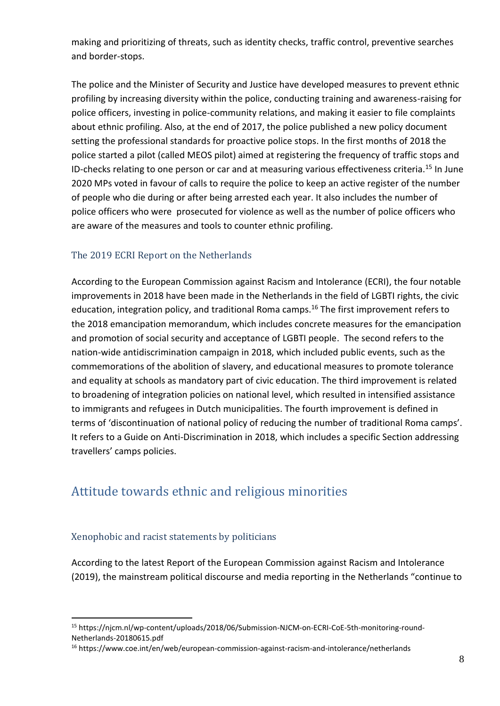making and prioritizing of threats, such as identity checks, traffic control, preventive searches and border-stops.

The police and the Minister of Security and Justice have developed measures to prevent ethnic profiling by increasing diversity within the police, conducting training and awareness-raising for police officers, investing in police-community relations, and making it easier to file complaints about ethnic profiling. Also, at the end of 2017, the police published a new policy document setting the professional standards for proactive police stops. In the first months of 2018 the police started a pilot (called MEOS pilot) aimed at registering the frequency of traffic stops and ID-checks relating to one person or car and at measuring various effectiveness criteria.<sup>15</sup> In June 2020 MPs voted in favour of calls to require the police to keep an active register of the number of people who die during or after being arrested each year. It also includes the number of police officers who were prosecuted for violence as well as the number of police officers who are aware of the measures and tools to counter ethnic profiling.

### <span id="page-7-0"></span>The 2019 ECRI Report on the Netherlands

According to the European Commission against Racism and Intolerance (ECRI), the four notable improvements in 2018 have been made in the Netherlands in the field of LGBTI rights, the civic education, integration policy, and traditional Roma camps.<sup>16</sup> The first improvement refers to the 2018 emancipation memorandum, which includes concrete measures for the emancipation and promotion of social security and acceptance of LGBTI people. The second refers to the nation-wide antidiscrimination campaign in 2018, which included public events, such as the commemorations of the abolition of slavery, and educational measures to promote tolerance and equality at schools as mandatory part of civic education. The third improvement is related to broadening of integration policies on national level, which resulted in intensified assistance to immigrants and refugees in Dutch municipalities. The fourth improvement is defined in terms of 'discontinuation of national policy of reducing the number of traditional Roma camps'. It refers to a Guide on Anti-Discrimination in 2018, which includes a specific Section addressing travellers' camps policies.

### <span id="page-7-1"></span>Attitude towards ethnic and religious minorities

#### <span id="page-7-2"></span>Xenophobic and racist statements by politicians

According to the latest Report of the European Commission against Racism and Intolerance (2019), the mainstream political discourse and media reporting in the Netherlands "continue to

<sup>15</sup> https://njcm.nl/wp-content/uploads/2018/06/Submission-NJCM-on-ECRI-CoE-5th-monitoring-round-Netherlands-20180615.pdf

<sup>16</sup> https://www.coe.int/en/web/european-commission-against-racism-and-intolerance/netherlands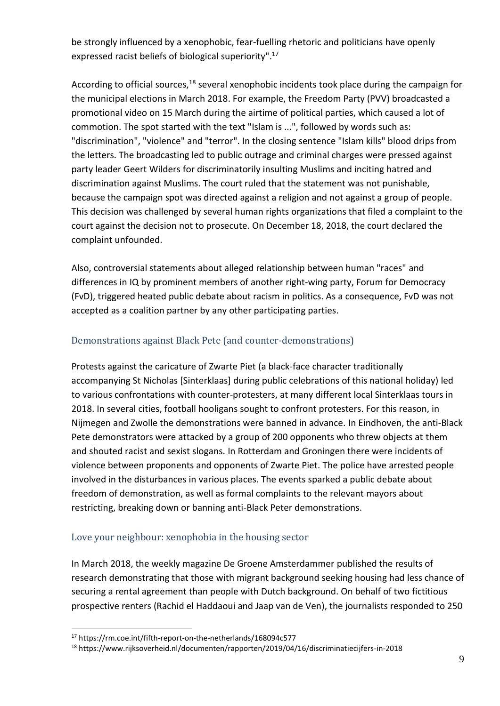be strongly influenced by a xenophobic, fear-fuelling rhetoric and politicians have openly expressed racist beliefs of biological superiority". 17

According to official sources,<sup>18</sup> several xenophobic incidents took place during the campaign for the municipal elections in March 2018. For example, the Freedom Party (PVV) broadcasted a promotional video on 15 March during the airtime of political parties, which caused a lot of commotion. The spot started with the text "Islam is ...", followed by words such as: "discrimination", "violence" and "terror". In the closing sentence "Islam kills" blood drips from the letters. The broadcasting led to public outrage and criminal charges were pressed against party leader Geert Wilders for discriminatorily insulting Muslims and inciting hatred and discrimination against Muslims. The court ruled that the statement was not punishable, because the campaign spot was directed against a religion and not against a group of people. This decision was challenged by several human rights organizations that filed a complaint to the court against the decision not to prosecute. On December 18, 2018, the court declared the complaint unfounded.

Also, controversial statements about alleged relationship between human "races" and differences in IQ by prominent members of another right-wing party, Forum for Democracy (FvD), triggered heated public debate about racism in politics. As a consequence, FvD was not accepted as a coalition partner by any other participating parties.

### <span id="page-8-0"></span>Demonstrations against Black Pete (and counter-demonstrations)

Protests against the caricature of Zwarte Piet (a black-face character traditionally accompanying St Nicholas [Sinterklaas] during public celebrations of this national holiday) led to various confrontations with counter-protesters, at many different local Sinterklaas tours in 2018. In several cities, football hooligans sought to confront protesters. For this reason, in Nijmegen and Zwolle the demonstrations were banned in advance. In Eindhoven, the anti-Black Pete demonstrators were attacked by a group of 200 opponents who threw objects at them and shouted racist and sexist slogans. In Rotterdam and Groningen there were incidents of violence between proponents and opponents of Zwarte Piet. The police have arrested people involved in the disturbances in various places. The events sparked a public debate about freedom of demonstration, as well as formal complaints to the relevant mayors about restricting, breaking down or banning anti-Black Peter demonstrations.

#### <span id="page-8-1"></span>Love your neighbour: xenophobia in the housing sector

In March 2018, the weekly magazine De Groene Amsterdammer published the results of research demonstrating that those with migrant background seeking housing had less chance of securing a rental agreement than people with Dutch background. On behalf of two fictitious prospective renters (Rachid el Haddaoui and Jaap van de Ven), the journalists responded to 250

<sup>17</sup> https://rm.coe.int/fifth-report-on-the-netherlands/168094c577

<sup>18</sup> https://www.rijksoverheid.nl/documenten/rapporten/2019/04/16/discriminatiecijfers-in-2018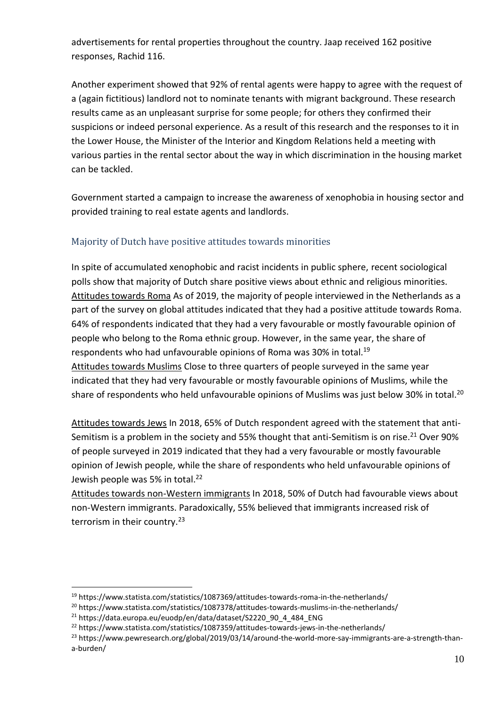advertisements for rental properties throughout the country. Jaap received 162 positive responses, Rachid 116.

Another experiment showed that 92% of rental agents were happy to agree with the request of a (again fictitious) landlord not to nominate tenants with migrant background. These research results came as an unpleasant surprise for some people; for others they confirmed their suspicions or indeed personal experience. As a result of this research and the responses to it in the Lower House, the Minister of the Interior and Kingdom Relations held a meeting with various parties in the rental sector about the way in which discrimination in the housing market can be tackled.

Government started a campaign to increase the awareness of xenophobia in housing sector and provided training to real estate agents and landlords.

### <span id="page-9-0"></span>Majority of Dutch have positive attitudes towards minorities

In spite of accumulated xenophobic and racist incidents in public sphere, recent sociological polls show that majority of Dutch share positive views about ethnic and religious minorities. Attitudes towards Roma As of 2019, the majority of people interviewed in the Netherlands as a part of the survey on global attitudes indicated that they had a positive attitude towards Roma. 64% of respondents indicated that they had a very favourable or mostly favourable opinion of people who belong to the Roma ethnic group. However, in the same year, the share of respondents who had unfavourable opinions of Roma was 30% in total.<sup>19</sup> Attitudes towards Muslims Close to three quarters of people surveyed in the same year indicated that they had very favourable or mostly favourable opinions of Muslims, while the share of respondents who held unfavourable opinions of Muslims was just below 30% in total.<sup>20</sup>

Attitudes towards Jews In 2018, 65% of Dutch respondent agreed with the statement that anti-Semitism is a problem in the society and 55% thought that anti-Semitism is on rise.<sup>21</sup> Over 90% of people surveyed in 2019 indicated that they had a very favourable or mostly favourable opinion of Jewish people, while the share of respondents who held unfavourable opinions of Jewish people was 5% in total.<sup>22</sup>

Attitudes towards non-Western immigrants In 2018, 50% of Dutch had favourable views about non-Western immigrants. Paradoxically, 55% believed that immigrants increased risk of terrorism in their country.<sup>23</sup>

<sup>19</sup> https://www.statista.com/statistics/1087369/attitudes-towards-roma-in-the-netherlands/

<sup>&</sup>lt;sup>20</sup> https://www.statista.com/statistics/1087378/attitudes-towards-muslims-in-the-netherlands/

 $21$  https://data.europa.eu/euodp/en/data/dataset/S2220\_90\_4\_484\_ENG

<sup>&</sup>lt;sup>22</sup> https://www.statista.com/statistics/1087359/attitudes-towards-jews-in-the-netherlands/

<sup>&</sup>lt;sup>23</sup> https://www.pewresearch.org/global/2019/03/14/around-the-world-more-say-immigrants-are-a-strength-thana-burden/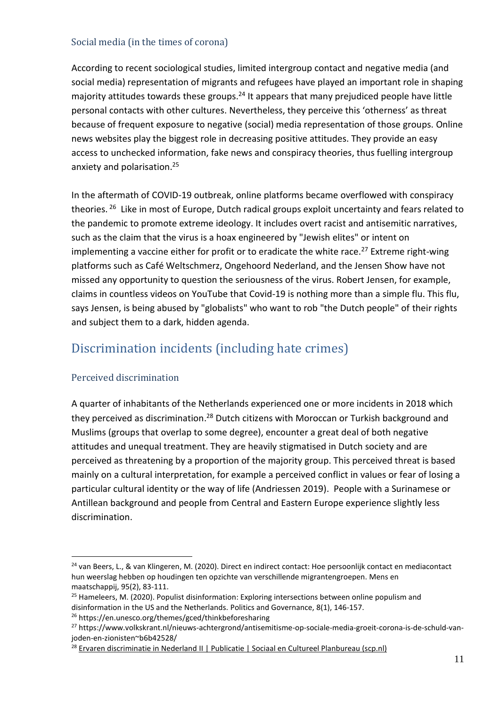#### <span id="page-10-0"></span>Social media (in the times of corona)

According to recent sociological studies, limited intergroup contact and negative media (and social media) representation of migrants and refugees have played an important role in shaping majority attitudes towards these groups.<sup>24</sup> It appears that many prejudiced people have little personal contacts with other cultures. Nevertheless, they perceive this 'otherness' as threat because of frequent exposure to negative (social) media representation of those groups. Online news websites play the biggest role in decreasing positive attitudes. They provide an easy access to unchecked information, fake news and conspiracy theories, thus fuelling intergroup anxiety and polarisation. 25

In the aftermath of COVID-19 outbreak, online platforms became overflowed with conspiracy theories. <sup>26</sup> Like in most of Europe, Dutch radical groups exploit uncertainty and fears related to the pandemic to promote extreme ideology. It includes overt racist and antisemitic narratives, such as the claim that the virus is a hoax engineered by "Jewish elites" or intent on implementing a vaccine either for profit or to eradicate the white race.<sup>27</sup> Extreme right-wing platforms such as Café Weltschmerz, Ongehoord Nederland, and the Jensen Show have not missed any opportunity to question the seriousness of the virus. Robert Jensen, for example, claims in countless videos on YouTube that Covid-19 is nothing more than a simple flu. This flu, says Jensen, is being abused by "globalists" who want to rob "the Dutch people" of their rights and subject them to a dark, hidden agenda.

## <span id="page-10-1"></span>Discrimination incidents (including hate crimes)

#### <span id="page-10-2"></span>Perceived discrimination

A quarter of inhabitants of the Netherlands experienced one or more incidents in 2018 which they perceived as discrimination.<sup>28</sup> Dutch citizens with Moroccan or Turkish background and Muslims (groups that overlap to some degree), encounter a great deal of both negative attitudes and unequal treatment. They are heavily stigmatised in Dutch society and are perceived as threatening by a proportion of the majority group. This perceived threat is based mainly on a cultural interpretation, for example a perceived conflict in values or fear of losing a particular cultural identity or the way of life (Andriessen 2019). People with a Surinamese or Antillean background and people from Central and Eastern Europe experience slightly less discrimination.

<sup>&</sup>lt;sup>24</sup> van Beers, L., & van Klingeren, M. (2020). Direct en indirect contact: Hoe persoonlijk contact en mediacontact hun weerslag hebben op houdingen ten opzichte van verschillende migrantengroepen. Mens en maatschappij, 95(2), 83-111.

 $25$  Hameleers, M. (2020). Populist disinformation: Exploring intersections between online populism and disinformation in the US and the Netherlands. Politics and Governance, 8(1), 146-157.

<sup>26</sup> https://en.unesco.org/themes/gced/thinkbeforesharing

<sup>27</sup> https://www.volkskrant.nl/nieuws-achtergrond/antisemitisme-op-sociale-media-groeit-corona-is-de-schuld-vanjoden-en-zionisten~b6b42528/

<sup>&</sup>lt;sup>28</sup> Ervaren discriminatie in Nederland [II | Publicatie | Sociaal en Cultureel Planbureau \(scp.nl\)](about:blank)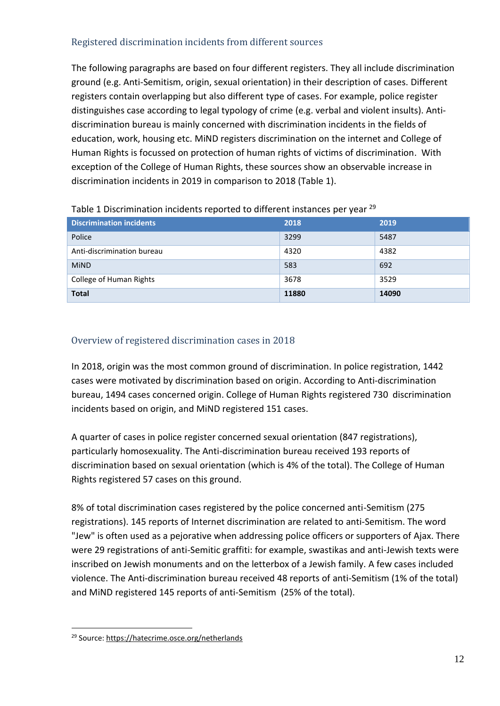#### <span id="page-11-0"></span>Registered discrimination incidents from different sources

The following paragraphs are based on four different registers. They all include discrimination ground (e.g. Anti-Semitism, origin, sexual orientation) in their description of cases. Different registers contain overlapping but also different type of cases. For example, police register distinguishes case according to legal typology of crime (e.g. verbal and violent insults). Antidiscrimination bureau is mainly concerned with discrimination incidents in the fields of education, work, housing etc. MiND registers discrimination on the internet and College of Human Rights is focussed on protection of human rights of victims of discrimination. With exception of the College of Human Rights, these sources show an observable increase in discrimination incidents in 2019 in comparison to 2018 (Table 1).

| <b>Discrimination incidents</b> | 2018  | 2019  |
|---------------------------------|-------|-------|
| Police                          | 3299  | 5487  |
| Anti-discrimination bureau      | 4320  | 4382  |
| <b>MiND</b>                     | 583   | 692   |
| College of Human Rights         | 3678  | 3529  |
| <b>Total</b>                    | 11880 | 14090 |

#### Table 1 Discrimination incidents reported to different instances per year <sup>29</sup>

#### <span id="page-11-1"></span>Overview of registered discrimination cases in 2018

In 2018, origin was the most common ground of discrimination. In police registration, 1442 cases were motivated by discrimination based on origin. According to Anti-discrimination bureau, 1494 cases concerned origin. College of Human Rights registered 730 discrimination incidents based on origin, and MiND registered 151 cases.

A quarter of cases in police register concerned sexual orientation (847 registrations), particularly homosexuality. The Anti-discrimination bureau received 193 reports of discrimination based on sexual orientation (which is 4% of the total). The College of Human Rights registered 57 cases on this ground.

8% of total discrimination cases registered by the police concerned anti-Semitism (275 registrations). 145 reports of Internet discrimination are related to anti-Semitism. The word "Jew" is often used as a pejorative when addressing police officers or supporters of Ajax. There were 29 registrations of anti-Semitic graffiti: for example, swastikas and anti-Jewish texts were inscribed on Jewish monuments and on the letterbox of a Jewish family. A few cases included violence. The Anti-discrimination bureau received 48 reports of anti-Semitism (1% of the total) and MiND registered 145 reports of anti-Semitism (25% of the total).

<sup>29</sup> Source[: https://hatecrime.osce.org/netherlands](about:blank)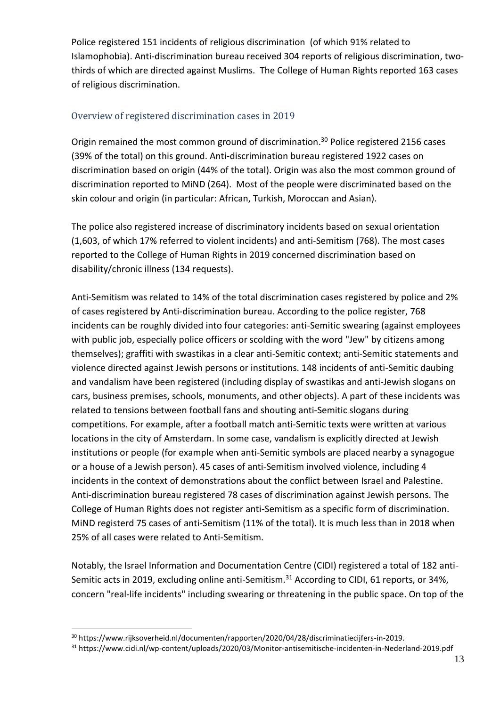Police registered 151 incidents of religious discrimination (of which 91% related to Islamophobia). Anti-discrimination bureau received 304 reports of religious discrimination, twothirds of which are directed against Muslims. The College of Human Rights reported 163 cases of religious discrimination.

#### <span id="page-12-0"></span>Overview of registered discrimination cases in 2019

Origin remained the most common ground of discrimination. <sup>30</sup> Police registered 2156 cases (39% of the total) on this ground. Anti-discrimination bureau registered 1922 cases on discrimination based on origin (44% of the total). Origin was also the most common ground of discrimination reported to MiND (264). Most of the people were discriminated based on the skin colour and origin (in particular: African, Turkish, Moroccan and Asian).

The police also registered increase of discriminatory incidents based on sexual orientation (1,603, of which 17% referred to violent incidents) and anti-Semitism (768). The most cases reported to the College of Human Rights in 2019 concerned discrimination based on disability/chronic illness (134 requests).

Anti-Semitism was related to 14% of the total discrimination cases registered by police and 2% of cases registered by Anti-discrimination bureau. According to the police register, 768 incidents can be roughly divided into four categories: anti-Semitic swearing (against employees with public job, especially police officers or scolding with the word "Jew" by citizens among themselves); graffiti with swastikas in a clear anti-Semitic context; anti-Semitic statements and violence directed against Jewish persons or institutions. 148 incidents of anti-Semitic daubing and vandalism have been registered (including display of swastikas and anti-Jewish slogans on cars, business premises, schools, monuments, and other objects). A part of these incidents was related to tensions between football fans and shouting anti-Semitic slogans during competitions. For example, after a football match anti-Semitic texts were written at various locations in the city of Amsterdam. In some case, vandalism is explicitly directed at Jewish institutions or people (for example when anti-Semitic symbols are placed nearby a synagogue or a house of a Jewish person). 45 cases of anti-Semitism involved violence, including 4 incidents in the context of demonstrations about the conflict between Israel and Palestine. Anti-discrimination bureau registered 78 cases of discrimination against Jewish persons. The College of Human Rights does not register anti-Semitism as a specific form of discrimination. MiND registerd 75 cases of anti-Semitism (11% of the total). It is much less than in 2018 when 25% of all cases were related to Anti-Semitism.

Notably, the Israel Information and Documentation Centre (CIDI) registered a total of 182 anti-Semitic acts in 2019, excluding online anti-Semitism.<sup>31</sup> According to CIDI, 61 reports, or 34%, concern "real-life incidents" including swearing or threatening in the public space. On top of the

<sup>30</sup> https://www.rijksoverheid.nl/documenten/rapporten/2020/04/28/discriminatiecijfers-in-2019.

<sup>31</sup> https://www.cidi.nl/wp-content/uploads/2020/03/Monitor-antisemitische-incidenten-in-Nederland-2019.pdf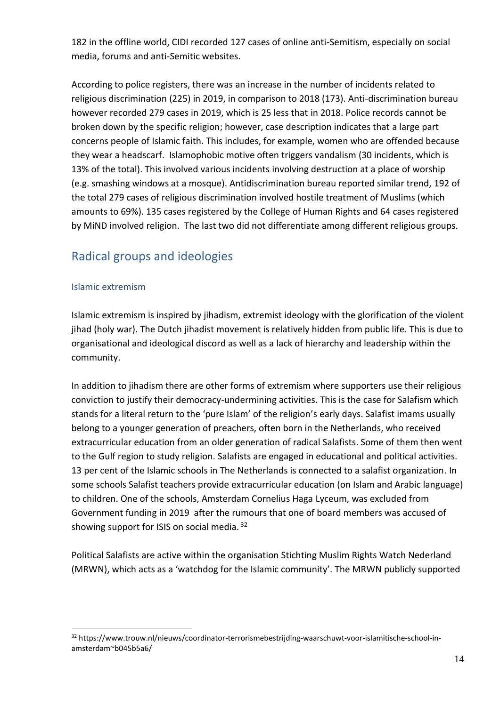182 in the offline world, CIDI recorded 127 cases of online anti-Semitism, especially on social media, forums and anti-Semitic websites.

According to police registers, there was an increase in the number of incidents related to religious discrimination (225) in 2019, in comparison to 2018 (173). Anti-discrimination bureau however recorded 279 cases in 2019, which is 25 less that in 2018. Police records cannot be broken down by the specific religion; however, case description indicates that a large part concerns people of Islamic faith. This includes, for example, women who are offended because they wear a headscarf. Islamophobic motive often triggers vandalism (30 incidents, which is 13% of the total). This involved various incidents involving destruction at a place of worship (e.g. smashing windows at a mosque). Antidiscrimination bureau reported similar trend, 192 of the total 279 cases of religious discrimination involved hostile treatment of Muslims (which amounts to 69%). 135 cases registered by the College of Human Rights and 64 cases registered by MiND involved religion. The last two did not differentiate among different religious groups.

### <span id="page-13-0"></span>Radical groups and ideologies

#### <span id="page-13-1"></span>Islamic extremism

Islamic extremism is inspired by jihadism, extremist ideology with the glorification of the violent jihad (holy war). The Dutch jihadist movement is relatively hidden from public life. This is due to organisational and ideological discord as well as a lack of hierarchy and leadership within the community.

In addition to jihadism there are other forms of extremism where supporters use their religious conviction to justify their democracy-undermining activities. This is the case for Salafism which stands for a literal return to the 'pure Islam' of the religion's early days. Salafist imams usually belong to a younger generation of preachers, often born in the Netherlands, who received extracurricular education from an older generation of radical Salafists. Some of them then went to the Gulf region to study religion. Salafists are engaged in educational and political activities. 13 per cent of the Islamic schools in The Netherlands is connected to a salafist organization. In some schools Salafist teachers provide extracurricular education (on Islam and Arabic language) to children. One of the schools, Amsterdam Cornelius Haga Lyceum, was excluded from Government funding in 2019 after the rumours that one of board members was accused of showing support for ISIS on social media. 32

Political Salafists are active within the organisation Stichting Muslim Rights Watch Nederland (MRWN), which acts as a 'watchdog for the Islamic community'. The MRWN publicly supported

 $32$  https://www.trouw.nl/nieuws/coordinator-terrorismebestriiding-waarschuwt-voor-islamitische-school-inamsterdam~b045b5a6/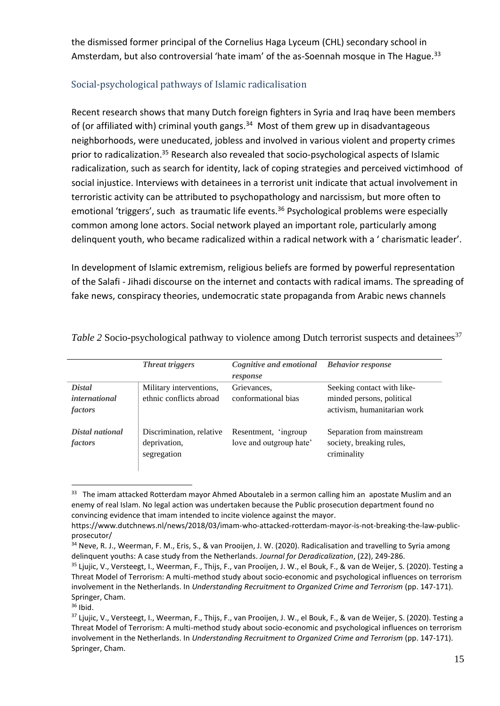the dismissed former principal of the Cornelius Haga Lyceum (CHL) secondary school in Amsterdam, but also controversial 'hate imam' of the as-Soennah mosque in The Hague.<sup>33</sup>

### <span id="page-14-0"></span>Social-psychological pathways of Islamic radicalisation

Recent research shows that many Dutch foreign fighters in Syria and Iraq have been members of (or affiliated with) criminal youth gangs. $34$  Most of them grew up in disadvantageous neighborhoods, were uneducated, jobless and involved in various violent and property crimes prior to radicalization.<sup>35</sup> Research also revealed that socio-psychological aspects of Islamic radicalization, such as search for identity, lack of coping strategies and perceived victimhood of social injustice. Interviews with detainees in a terrorist unit indicate that actual involvement in terroristic activity can be attributed to psychopathology and narcissism, but more often to emotional 'triggers', such as traumatic life events.<sup>36</sup> Psychological problems were especially common among lone actors. Social network played an important role, particularly among delinquent youth, who became radicalized within a radical network with a ' charismatic leader'.

In development of Islamic extremism, religious beliefs are formed by powerful representation of the Salafi - Jihadi discourse on the internet and contacts with radical imams. The spreading of fake news, conspiracy theories, undemocratic state propaganda from Arabic news channels

|                                                  | <b>Threat triggers</b>                                  | Cognitive and emotional Behavior response<br>response |                                                                                        |
|--------------------------------------------------|---------------------------------------------------------|-------------------------------------------------------|----------------------------------------------------------------------------------------|
| <b>Distal</b><br><i>international</i><br>factors | Military interventions,<br>ethnic conflicts abroad      | Grievances,<br>conformational bias                    | Seeking contact with like-<br>minded persons, political<br>activism, humanitarian work |
| Distal national<br>factors                       | Discrimination, relative<br>deprivation,<br>segregation | Resentment, 'ingroup<br>love and outgroup hate'       | Separation from mainstream<br>society, breaking rules,<br>criminality                  |

*Table* 2 Socio-psychological pathway to violence among Dutch terrorist suspects and detainees<sup>37</sup>

<sup>&</sup>lt;sup>33</sup> The imam attacked Rotterdam mayor Ahmed Aboutaleb in a sermon calling him an apostate Muslim and an enemy of real Islam. No legal action was undertaken because the Public prosecution department found no convincing evidence that imam intended to incite violence against the mayor.

https://www.dutchnews.nl/news/2018/03/imam-who-attacked-rotterdam-mayor-is-not-breaking-the-law-publicprosecutor/

<sup>&</sup>lt;sup>34</sup> Neve, R. J., Weerman, F. M., Eris, S., & van Prooijen, J. W. (2020). Radicalisation and travelling to Syria among delinquent youths: A case study from the Netherlands. *Journal for Deradicalization*, (22), 249-286.

<sup>35</sup> Ljujic, V., Versteegt, I., Weerman, F., Thijs, F., van Prooijen, J. W., el Bouk, F., & van de Weijer, S. (2020). Testing a Threat Model of Terrorism: A multi-method study about socio-economic and psychological influences on terrorism involvement in the Netherlands. In *Understanding Recruitment to Organized Crime and Terrorism* (pp. 147-171). Springer, Cham.

 $36$  Ibid.

<sup>&</sup>lt;sup>37</sup> Ljujic, V., Versteegt, I., Weerman, F., Thijs, F., van Prooijen, J. W., el Bouk, F., & van de Weijer, S. (2020). Testing a Threat Model of Terrorism: A multi-method study about socio-economic and psychological influences on terrorism involvement in the Netherlands. In *Understanding Recruitment to Organized Crime and Terrorism* (pp. 147-171). Springer, Cham.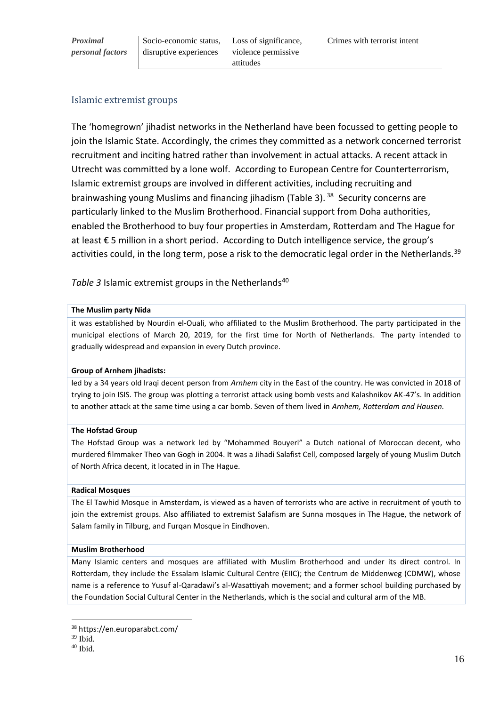*Proximal personal factors* Socio-economic status, disruptive experiences

#### <span id="page-15-0"></span>Islamic extremist groups

The 'homegrown' jihadist networks in the Netherland have been focussed to getting people to join the Islamic State. Accordingly, the crimes they committed as a network concerned terrorist recruitment and inciting hatred rather than involvement in actual attacks. A recent attack in Utrecht was committed by a lone wolf. According to European Centre for Counterterrorism, Islamic extremist groups are involved in different activities, including recruiting and brainwashing young Muslims and financing jihadism (Table 3). <sup>38</sup> Security concerns are particularly linked to the Muslim Brotherhood. Financial support from Doha authorities, enabled the Brotherhood to buy four properties in Amsterdam, Rotterdam and The Hague for at least € 5 million in a short period. According to Dutch intelligence service, the group's activities could, in the long term, pose a risk to the democratic legal order in the Netherlands.<sup>39</sup>

Table 3 Islamic extremist groups in the Netherlands<sup>40</sup>

#### **The Muslim party Nida**

it was established by Nourdin el-Ouali, who affiliated to the Muslim Brotherhood. The party participated in the municipal elections of March 20, 2019, for the first time for North of Netherlands. The party intended to gradually widespread and expansion in every Dutch province.

#### **Group of Arnhem jihadists:**

led by a 34 years old Iraqi decent person from *Arnhem* city in the East of the country. He was convicted in 2018 of trying to join ISIS. The group was plotting a terrorist attack using bomb vests and Kalashnikov AK-47's. In addition to another attack at the same time using a car bomb. Seven of them lived in *Arnhem, Rotterdam and Hausen.*

#### **The Hofstad Group**

The Hofstad Group was a network led by "Mohammed Bouyeri" a Dutch national of Moroccan decent, who murdered filmmaker Theo van Gogh in 2004. It was a Jihadi Salafist Cell, composed largely of young Muslim Dutch of North Africa decent, it located in in The Hague.

#### **Radical Mosques**

The El Tawhid Mosque in Amsterdam, is viewed as a haven of terrorists who are active in recruitment of youth to join the extremist groups. Also affiliated to extremist Salafism are Sunna mosques in The Hague, the network of Salam family in Tilburg, and Furqan Mosque in Eindhoven.

#### **Muslim Brotherhood**

Many Islamic centers and mosques are affiliated with Muslim Brotherhood and under its direct control. In Rotterdam, they include the Essalam Islamic Cultural Centre (EIIC); the Centrum de Middenweg (CDMW), whose name is a reference to Yusuf al-Qaradawi's al-Wasattiyah movement; and a former school building purchased by the Foundation Social Cultural Center in the Netherlands, which is the social and cultural arm of the MB.

<sup>38</sup> https://en.europarabct.com/

 $39$  Ibid.

<sup>40</sup> Ibid.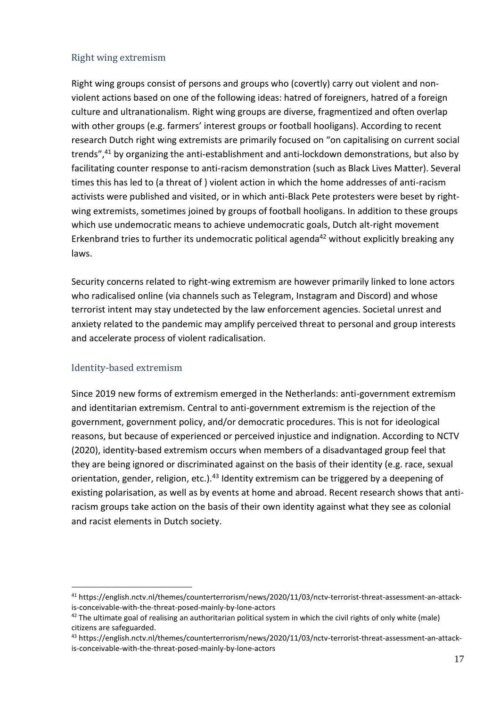#### <span id="page-16-0"></span>Right wing extremism

Right wing groups consist of persons and groups who (covertly) carry out violent and nonviolent actions based on one of the following ideas: hatred of foreigners, hatred of a foreign culture and ultranationalism. Right wing groups are diverse, fragmentized and often overlap with other groups (e.g. farmers' interest groups or football hooligans). According to recent research Dutch right wing extremists are primarily focused on "on capitalising on current social trends",<sup>41</sup> by organizing the anti-establishment and anti-lockdown demonstrations, but also by facilitating counter response to anti-racism demonstration (such as Black Lives Matter). Several times this has led to (a threat of ) violent action in which the home addresses of anti-racism activists were published and visited, or in which anti-Black Pete protesters were beset by rightwing extremists, sometimes joined by groups of football hooligans. In addition to these groups which use undemocratic means to achieve undemocratic goals, Dutch alt-right movement Erkenbrand tries to further its undemocratic political agenda<sup>42</sup> without explicitly breaking any laws.

Security concerns related to right-wing extremism are however primarily linked to lone actors who radicalised online (via channels such as Telegram, Instagram and Discord) and whose terrorist intent may stay undetected by the law enforcement agencies. Societal unrest and anxiety related to the pandemic may amplify perceived threat to personal and group interests and accelerate process of violent radicalisation.

#### <span id="page-16-1"></span>Identity-based extremism

Since 2019 new forms of extremism emerged in the Netherlands: anti-government extremism and identitarian extremism. Central to anti-government extremism is the rejection of the government, government policy, and/or democratic procedures. This is not for ideological reasons, but because of experienced or perceived injustice and indignation. According to NCTV (2020), identity-based extremism occurs when members of a disadvantaged group feel that they are being ignored or discriminated against on the basis of their identity (e.g. race, sexual orientation, gender, religion, etc.).<sup>43</sup> Identity extremism can be triggered by a deepening of existing polarisation, as well as by events at home and abroad. Recent research shows that antiracism groups take action on the basis of their own identity against what they see as colonial and racist elements in Dutch society.

<sup>41</sup> https://english.nctv.nl/themes/counterterrorism/news/2020/11/03/nctv-terrorist-threat-assessment-an-attackis-conceivable-with-the-threat-posed-mainly-by-lone-actors

 $42$  The ultimate goal of realising an authoritarian political system in which the civil rights of only white (male) citizens are safeguarded.

<sup>43</sup> https://english.nctv.nl/themes/counterterrorism/news/2020/11/03/nctv-terrorist-threat-assessment-an-attackis-conceivable-with-the-threat-posed-mainly-by-lone-actors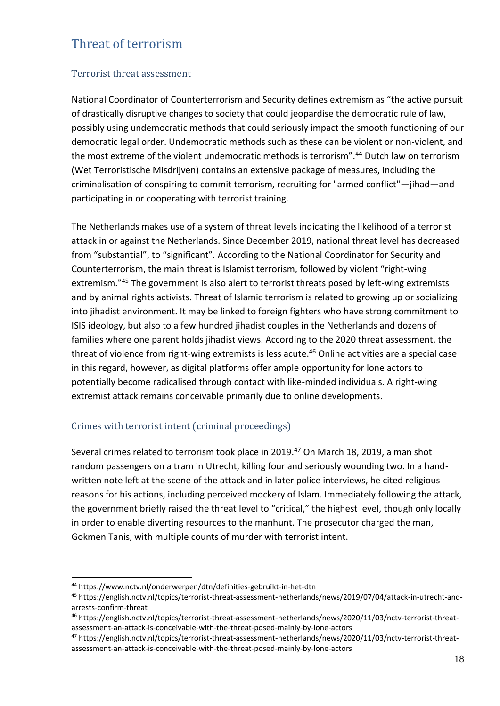## <span id="page-17-0"></span>Threat of terrorism

#### <span id="page-17-1"></span>Terrorist threat assessment

National Coordinator of Counterterrorism and Security defines extremism as "the active pursuit of drastically disruptive changes to society that could jeopardise the democratic rule of law, possibly using undemocratic methods that could seriously impact the smooth functioning of our democratic legal order. Undemocratic methods such as these can be violent or non-violent, and the most extreme of the violent undemocratic methods is terrorism".<sup>44</sup> Dutch law on terrorism (Wet Terroristische Misdrijven) contains an extensive package of measures, including the criminalisation of conspiring to commit terrorism, recruiting for "armed conflict"—jihad—and participating in or cooperating with terrorist training.

The Netherlands makes use of a system of threat levels indicating the likelihood of a terrorist attack in or against the Netherlands. Since December 2019, national threat level has decreased from "substantial", to "significant". According to the National Coordinator for Security and Counterterrorism, the main threat is Islamist terrorism, followed by violent "right-wing extremism."<sup>45</sup> The government is also alert to terrorist threats posed by left-wing extremists and by animal rights activists. Threat of Islamic terrorism is related to growing up or socializing into jihadist environment. It may be linked to foreign fighters who have strong commitment to ISIS ideology, but also to a few hundred jihadist couples in the Netherlands and dozens of families where one parent holds jihadist views. According to the 2020 threat assessment, the threat of violence from right-wing extremists is less acute.<sup>46</sup> Online activities are a special case in this regard, however, as digital platforms offer ample opportunity for lone actors to potentially become radicalised through contact with like-minded individuals. A right-wing extremist attack remains conceivable primarily due to online developments.

#### <span id="page-17-2"></span>Crimes with terrorist intent (criminal proceedings)

Several crimes related to terrorism took place in 2019.<sup>47</sup> On March 18, 2019, a man shot random passengers on a tram in Utrecht, killing four and seriously wounding two. In a handwritten note left at the scene of the attack and in later police interviews, he cited religious reasons for his actions, including perceived mockery of Islam. Immediately following the attack, the government briefly raised the threat level to "critical," the highest level, though only locally in order to enable diverting resources to the manhunt. The prosecutor charged the man, Gokmen Tanis, with multiple counts of murder with terrorist intent.

<sup>44</sup> https://www.nctv.nl/onderwerpen/dtn/definities-gebruikt-in-het-dtn

<sup>45</sup> https://english.nctv.nl/topics/terrorist-threat-assessment-netherlands/news/2019/07/04/attack-in-utrecht-andarrests-confirm-threat

<sup>46</sup> https://english.nctv.nl/topics/terrorist-threat-assessment-netherlands/news/2020/11/03/nctv-terrorist-threatassessment-an-attack-is-conceivable-with-the-threat-posed-mainly-by-lone-actors

<sup>47</sup> https://english.nctv.nl/topics/terrorist-threat-assessment-netherlands/news/2020/11/03/nctv-terrorist-threatassessment-an-attack-is-conceivable-with-the-threat-posed-mainly-by-lone-actors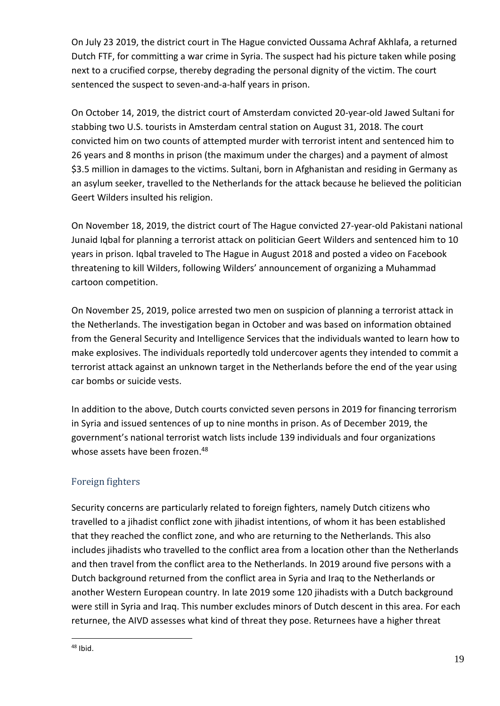On July 23 2019, the district court in The Hague convicted Oussama Achraf Akhlafa, a returned Dutch FTF, for committing a war crime in Syria. The suspect had his picture taken while posing next to a crucified corpse, thereby degrading the personal dignity of the victim. The court sentenced the suspect to seven-and-a-half years in prison.

On October 14, 2019, the district court of Amsterdam convicted 20-year-old Jawed Sultani for stabbing two U.S. tourists in Amsterdam central station on August 31, 2018. The court convicted him on two counts of attempted murder with terrorist intent and sentenced him to 26 years and 8 months in prison (the maximum under the charges) and a payment of almost \$3.5 million in damages to the victims. Sultani, born in Afghanistan and residing in Germany as an asylum seeker, travelled to the Netherlands for the attack because he believed the politician Geert Wilders insulted his religion.

On November 18, 2019, the district court of The Hague convicted 27-year-old Pakistani national Junaid Iqbal for planning a terrorist attack on politician Geert Wilders and sentenced him to 10 years in prison. Iqbal traveled to The Hague in August 2018 and posted a video on Facebook threatening to kill Wilders, following Wilders' announcement of organizing a Muhammad cartoon competition.

On November 25, 2019, police arrested two men on suspicion of planning a terrorist attack in the Netherlands. The investigation began in October and was based on information obtained from the General Security and Intelligence Services that the individuals wanted to learn how to make explosives. The individuals reportedly told undercover agents they intended to commit a terrorist attack against an unknown target in the Netherlands before the end of the year using car bombs or suicide vests.

In addition to the above, Dutch courts convicted seven persons in 2019 for financing terrorism in Syria and issued sentences of up to nine months in prison. As of December 2019, the government's national terrorist watch lists include 139 individuals and four organizations whose assets have been frozen.<sup>48</sup>

### <span id="page-18-0"></span>Foreign fighters

Security concerns are particularly related to foreign fighters, namely Dutch citizens who travelled to a jihadist conflict zone with jihadist intentions, of whom it has been established that they reached the conflict zone, and who are returning to the Netherlands. This also includes jihadists who travelled to the conflict area from a location other than the Netherlands and then travel from the conflict area to the Netherlands. In 2019 around five persons with a Dutch background returned from the conflict area in Syria and Iraq to the Netherlands or another Western European country. In late 2019 some 120 jihadists with a Dutch background were still in Syria and Iraq. This number excludes minors of Dutch descent in this area. For each returnee, the AIVD assesses what kind of threat they pose. Returnees have a higher threat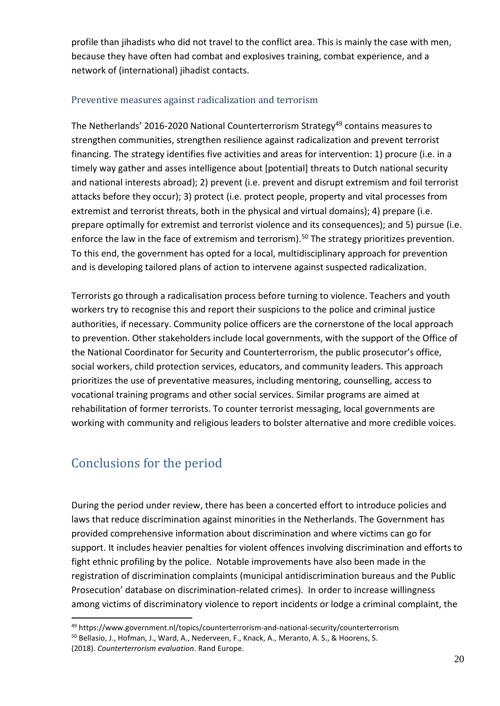profile than jihadists who did not travel to the conflict area. This is mainly the case with men, because they have often had combat and explosives training, combat experience, and a network of (international) jihadist contacts.

#### <span id="page-19-0"></span>Preventive measures against radicalization and terrorism

The Netherlands' 2016-2020 National Counterterrorism Strategy<sup>49</sup> contains measures to strengthen communities, strengthen resilience against radicalization and prevent terrorist financing. The strategy identifies five activities and areas for intervention: 1) procure (i.e. in a timely way gather and asses intelligence about [potential] threats to Dutch national security and national interests abroad); 2) prevent (i.e. prevent and disrupt extremism and foil terrorist attacks before they occur); 3) protect (i.e. protect people, property and vital processes from extremist and terrorist threats, both in the physical and virtual domains); 4) prepare (i.e. prepare optimally for extremist and terrorist violence and its consequences); and 5) pursue (i.e. enforce the law in the face of extremism and terrorism).<sup>50</sup> The strategy prioritizes prevention. To this end, the government has opted for a local, multidisciplinary approach for prevention and is developing tailored plans of action to intervene against suspected radicalization.

Terrorists go through a radicalisation process before turning to violence. Teachers and youth workers try to recognise this and report their suspicions to the police and criminal justice authorities, if necessary. Community police officers are the cornerstone of the local approach to prevention. Other stakeholders include local governments, with the support of the Office of the National Coordinator for Security and Counterterrorism, the public prosecutor's office, social workers, child protection services, educators, and community leaders. This approach prioritizes the use of preventative measures, including mentoring, counselling, access to vocational training programs and other social services. Similar programs are aimed at rehabilitation of former terrorists. To counter terrorist messaging, local governments are working with community and religious leaders to bolster alternative and more credible voices.

## <span id="page-19-1"></span>Conclusions for the period

During the period under review, there has been a concerted effort to introduce policies and laws that reduce discrimination against minorities in the Netherlands. The Government has provided comprehensive information about discrimination and where victims can go for support. It includes heavier penalties for violent offences involving discrimination and efforts to fight ethnic profiling by the police. Notable improvements have also been made in the registration of discrimination complaints (municipal antidiscrimination bureaus and the Public Prosecution' database on discrimination-related crimes). In order to increase willingness among victims of discriminatory violence to report incidents or lodge a criminal complaint, the

<sup>49</sup> https://www.government.nl/topics/counterterrorism-and-national-security/counterterrorism <sup>50</sup> Bellasio, J., Hofman, J., Ward, A., Nederveen, F., Knack, A., Meranto, A. S., & Hoorens, S.

<sup>(2018).</sup> *Counterterrorism evaluation*. Rand Europe.